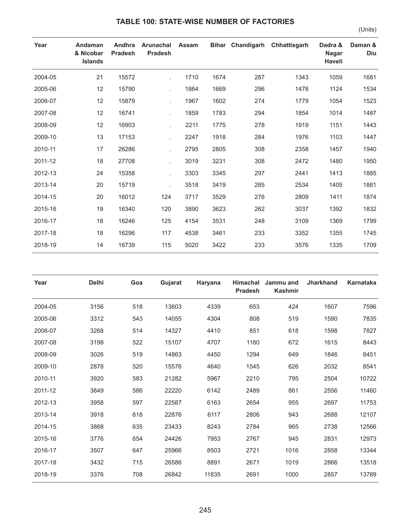## **TABLE 100: STATE-WISE NUMBER OF FACTORIES**

(Units)

| Year    | Andaman<br>& Nicobar<br><b>Islands</b> | Andhra<br><b>Pradesh</b> | Arunachal<br><b>Pradesh</b> | <b>Assam</b> |      |     | Bihar Chandigarh Chhattisgarh | Dadra &<br><b>Nagar</b><br>Haveli | Daman &<br>Diu |
|---------|----------------------------------------|--------------------------|-----------------------------|--------------|------|-----|-------------------------------|-----------------------------------|----------------|
| 2004-05 | 21                                     | 15572                    |                             | 1710         | 1674 | 287 | 1343                          | 1059                              | 1681           |
| 2005-06 | 12                                     | 15790                    |                             | 1864         | 1669 | 296 | 1478                          | 1124                              | 1534           |
| 2006-07 | 12                                     | 15879                    |                             | 1967         | 1602 | 274 | 1779                          | 1054                              | 1523           |
| 2007-08 | 12                                     | 16741                    |                             | 1859         | 1783 | 294 | 1854                          | 1014                              | 1487           |
| 2008-09 | 12                                     | 16903                    |                             | 2211         | 1775 | 278 | 1919                          | 1151                              | 1443           |
| 2009-10 | 13                                     | 17153                    |                             | 2247         | 1918 | 284 | 1976                          | 1103                              | 1447           |
| 2010-11 | 17                                     | 26286                    |                             | 2795         | 2805 | 308 | 2358                          | 1457                              | 1940           |
| 2011-12 | 18                                     | 27708                    |                             | 3019         | 3231 | 308 | 2472                          | 1480                              | 1950           |
| 2012-13 | 24                                     | 15358                    |                             | 3303         | 3345 | 297 | 2441                          | 1413                              | 1885           |
| 2013-14 | 20                                     | 15719                    |                             | 3518         | 3419 | 285 | 2534                          | 1405                              | 1881           |
| 2014-15 | 20                                     | 16012                    | 124                         | 3717         | 3529 | 276 | 2809                          | 1411                              | 1874           |
| 2015-16 | 19                                     | 16340                    | 120                         | 3890         | 3623 | 262 | 3037                          | 1392                              | 1832           |
| 2016-17 | 18                                     | 16246                    | 125                         | 4154         | 3531 | 248 | 3109                          | 1369                              | 1799           |
| 2017-18 | 18                                     | 16296                    | 117                         | 4538         | 3461 | 233 | 3352                          | 1355                              | 1745           |
| 2018-19 | 14                                     | 16739                    | 115                         | 5020         | 3422 | 233 | 3576                          | 1335                              | 1709           |

| Year    | <b>Delhi</b> | Goa | Gujarat | Haryana | <b>Himachal</b><br><b>Pradesh</b> | Jammu and<br><b>Kashmir</b> | <b>Jharkhand</b> | Karnataka |
|---------|--------------|-----|---------|---------|-----------------------------------|-----------------------------|------------------|-----------|
| 2004-05 | 3156         | 518 | 13603   | 4339    | 653                               | 424                         | 1607             | 7596      |
| 2005-06 | 3312         | 543 | 14055   | 4304    | 808                               | 519                         | 1590             | 7835      |
| 2006-07 | 3268         | 514 | 14327   | 4410    | 851                               | 618                         | 1598             | 7827      |
| 2007-08 | 3198         | 522 | 15107   | 4707    | 1160                              | 672                         | 1615             | 8443      |
| 2008-09 | 3026         | 519 | 14863   | 4450    | 1294                              | 649                         | 1846             | 8451      |
| 2009-10 | 2878         | 520 | 15576   | 4640    | 1545                              | 626                         | 2032             | 8541      |
| 2010-11 | 3920         | 583 | 21282   | 5967    | 2210                              | 795                         | 2504             | 10722     |
| 2011-12 | 3849         | 586 | 22220   | 6142    | 2489                              | 861                         | 2556             | 11460     |
| 2012-13 | 3958         | 597 | 22587   | 6163    | 2654                              | 955                         | 2697             | 11753     |
| 2013-14 | 3918         | 618 | 22876   | 6117    | 2806                              | 943                         | 2688             | 12107     |
| 2014-15 | 3868         | 635 | 23433   | 8243    | 2784                              | 965                         | 2738             | 12566     |
| 2015-16 | 3776         | 654 | 24426   | 7953    | 2767                              | 945                         | 2831             | 12973     |
| 2016-17 | 3507         | 647 | 25966   | 8503    | 2721                              | 1016                        | 2858             | 13344     |
| 2017-18 | 3432         | 715 | 26586   | 8891    | 2671                              | 1019                        | 2866             | 13518     |
| 2018-19 | 3376         | 708 | 26842   | 11835   | 2691                              | 1000                        | 2857             | 13789     |